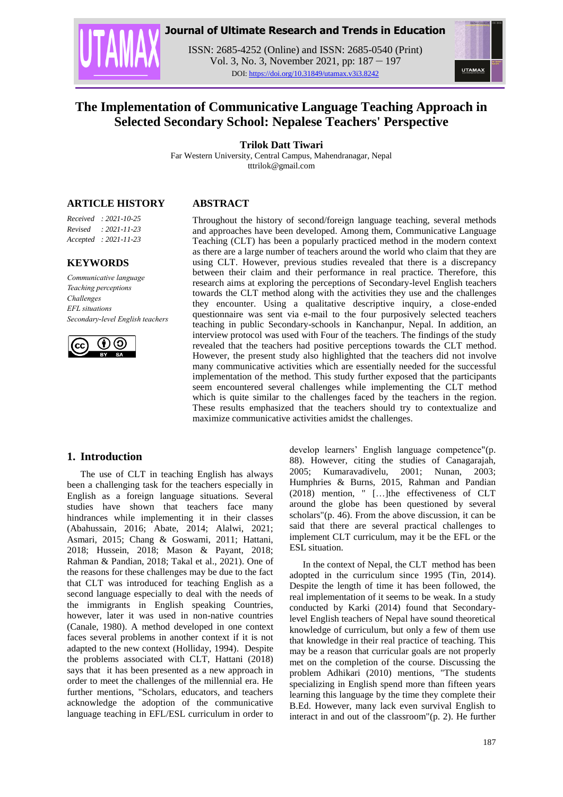

# **Journal of Ultimate Research and Trends in Education**

ISSN: 2685-4252 (Online) and ISSN: 2685-0540 (Print) Vol. 3, No. 3, November 2021, pp: 187 – 197 DOI: https://doi.org/10.31849/utamax.v3i3.8242

# **The Implementation of Communicative Language Teaching Approach in Selected Secondary School: Nepalese Teachers' Perspective**

**Trilok Datt Tiwari**

Far Western University, Central Campus, Mahendranagar, Nepal tttrilok@gmail.com

# **ARTICLE HISTORY**

*Received : 2021-10-25 Revised : 2021-11-23 Accepted : 2021-11-23*

# **KEYWORDS**

*Communicative language Teaching perceptions Challenges EFL situations Secondary-level English teachers*



# **ABSTRACT**

Throughout the history of second/foreign language teaching, several methods and approaches have been developed. Among them, Communicative Language Teaching (CLT) has been a popularly practiced method in the modern context as there are a large number of teachers around the world who claim that they are using CLT. However, previous studies revealed that there is a discrepancy between their claim and their performance in real practice. Therefore, this research aims at exploring the perceptions of Secondary-level English teachers towards the CLT method along with the activities they use and the challenges they encounter. Using a qualitative descriptive inquiry, a close-ended questionnaire was sent via e-mail to the four purposively selected teachers teaching in public Secondary-schools in Kanchanpur, Nepal. In addition, an interview protocol was used with Four of the teachers. The findings of the study revealed that the teachers had positive perceptions towards the CLT method. However, the present study also highlighted that the teachers did not involve many communicative activities which are essentially needed for the successful implementation of the method. This study further exposed that the participants seem encountered several challenges while implementing the CLT method which is quite similar to the challenges faced by the teachers in the region. These results emphasized that the teachers should try to contextualize and maximize communicative activities amidst the challenges.

# **1. Introduction**

The use of CLT in teaching English has always been a challenging task for the teachers especially in English as a foreign language situations. Several studies have shown that teachers face many hindrances while implementing it in their classes (Abahussain, 2016; Abate, 2014; Alalwi, 2021; Asmari, 2015; Chang & Goswami, 2011; Hattani, 2018; Hussein, 2018; Mason & Payant, 2018; Rahman & Pandian, 2018; Takal et al., 2021). One of the reasons for these challenges may be due to the fact that CLT was introduced for teaching English as a second language especially to deal with the needs of the immigrants in English speaking Countries, however, later it was used in non-native countries (Canale, 1980). A method developed in one context faces several problems in another context if it is not adapted to the new context (Holliday, 1994). Despite the problems associated with CLT, Hattani (2018) says that it has been presented as a new approach in order to meet the challenges of the millennial era. He further mentions, "Scholars, educators, and teachers acknowledge the adoption of the communicative language teaching in EFL/ESL curriculum in order to

develop learners' English language competence"(p. 88). However, citing the studies of Canagarajah, 2005; Kumaravadivelu, 2001; Nunan, 2003; Humphries & Burns, 2015, Rahman and Pandian (2018) mention, " […]the effectiveness of CLT around the globe has been questioned by several scholars"(p. 46). From the above discussion, it can be said that there are several practical challenges to implement CLT curriculum, may it be the EFL or the ESL situation.

In the context of Nepal, the CLT method has been adopted in the curriculum since 1995 (Tin, 2014). Despite the length of time it has been followed, the real implementation of it seems to be weak. In a study conducted by Karki (2014) found that Secondarylevel English teachers of Nepal have sound theoretical knowledge of curriculum, but only a few of them use that knowledge in their real practice of teaching. This may be a reason that curricular goals are not properly met on the completion of the course. Discussing the problem Adhikari (2010) mentions, "The students specializing in English spend more than fifteen years learning this language by the time they complete their B.Ed. However, many lack even survival English to interact in and out of the classroom"(p. 2). He further

**UTAMAX**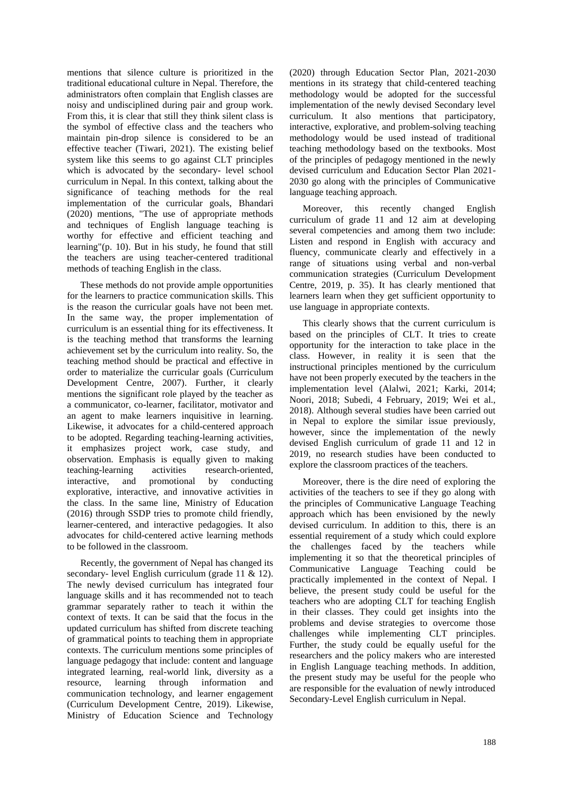mentions that silence culture is prioritized in the traditional educational culture in Nepal. Therefore, the administrators often complain that English classes are noisy and undisciplined during pair and group work. From this, it is clear that still they think silent class is the symbol of effective class and the teachers who maintain pin-drop silence is considered to be an effective teacher (Tiwari, 2021). The existing belief system like this seems to go against CLT principles which is advocated by the secondary- level school curriculum in Nepal. In this context, talking about the significance of teaching methods for the real implementation of the curricular goals, Bhandari (2020) mentions, "The use of appropriate methods and techniques of English language teaching is worthy for effective and efficient teaching and learning"(p. 10). But in his study, he found that still the teachers are using teacher-centered traditional methods of teaching English in the class.

These methods do not provide ample opportunities for the learners to practice communication skills. This is the reason the curricular goals have not been met. In the same way, the proper implementation of curriculum is an essential thing for its effectiveness. It is the teaching method that transforms the learning achievement set by the curriculum into reality. So, the teaching method should be practical and effective in order to materialize the curricular goals (Curriculum Development Centre, 2007). Further, it clearly mentions the significant role played by the teacher as a communicator, co-learner, facilitator, motivator and an agent to make learners inquisitive in learning. Likewise, it advocates for a child-centered approach to be adopted. Regarding teaching-learning activities, it emphasizes project work, case study, and observation. Emphasis is equally given to making teaching-learning activities research-oriented, interactive, and promotional by conducting explorative, interactive, and innovative activities in the class. In the same line, Ministry of Education (2016) through SSDP tries to promote child friendly, learner-centered, and interactive pedagogies. It also advocates for child-centered active learning methods to be followed in the classroom.

Recently, the government of Nepal has changed its secondary- level English curriculum (grade 11 & 12). The newly devised curriculum has integrated four language skills and it has recommended not to teach grammar separately rather to teach it within the context of texts. It can be said that the focus in the updated curriculum has shifted from discrete teaching of grammatical points to teaching them in appropriate contexts. The curriculum mentions some principles of language pedagogy that include: content and language integrated learning, real-world link, diversity as a resource, learning through information and communication technology, and learner engagement (Curriculum Development Centre, 2019). Likewise, Ministry of Education Science and Technology

(2020) through Education Sector Plan, 2021-2030 mentions in its strategy that child-centered teaching methodology would be adopted for the successful implementation of the newly devised Secondary level curriculum. It also mentions that participatory, interactive, explorative, and problem-solving teaching methodology would be used instead of traditional teaching methodology based on the textbooks. Most of the principles of pedagogy mentioned in the newly devised curriculum and Education Sector Plan 2021- 2030 go along with the principles of Communicative language teaching approach.

Moreover, this recently changed English curriculum of grade 11 and 12 aim at developing several competencies and among them two include: Listen and respond in English with accuracy and fluency, communicate clearly and effectively in a range of situations using verbal and non-verbal communication strategies (Curriculum Development Centre, 2019, p. 35). It has clearly mentioned that learners learn when they get sufficient opportunity to use language in appropriate contexts.

This clearly shows that the current curriculum is based on the principles of CLT. It tries to create opportunity for the interaction to take place in the class. However, in reality it is seen that the instructional principles mentioned by the curriculum have not been properly executed by the teachers in the implementation level (Alalwi, 2021; Karki, 2014; Noori, 2018; Subedi, 4 February, 2019; Wei et al., 2018). Although several studies have been carried out in Nepal to explore the similar issue previously, however, since the implementation of the newly devised English curriculum of grade 11 and 12 in 2019, no research studies have been conducted to explore the classroom practices of the teachers.

Moreover, there is the dire need of exploring the activities of the teachers to see if they go along with the principles of Communicative Language Teaching approach which has been envisioned by the newly devised curriculum. In addition to this, there is an essential requirement of a study which could explore the challenges faced by the teachers while implementing it so that the theoretical principles of Communicative Language Teaching could be practically implemented in the context of Nepal. I believe, the present study could be useful for the teachers who are adopting CLT for teaching English in their classes. They could get insights into the problems and devise strategies to overcome those challenges while implementing CLT principles. Further, the study could be equally useful for the researchers and the policy makers who are interested in English Language teaching methods. In addition, the present study may be useful for the people who are responsible for the evaluation of newly introduced Secondary-Level English curriculum in Nepal.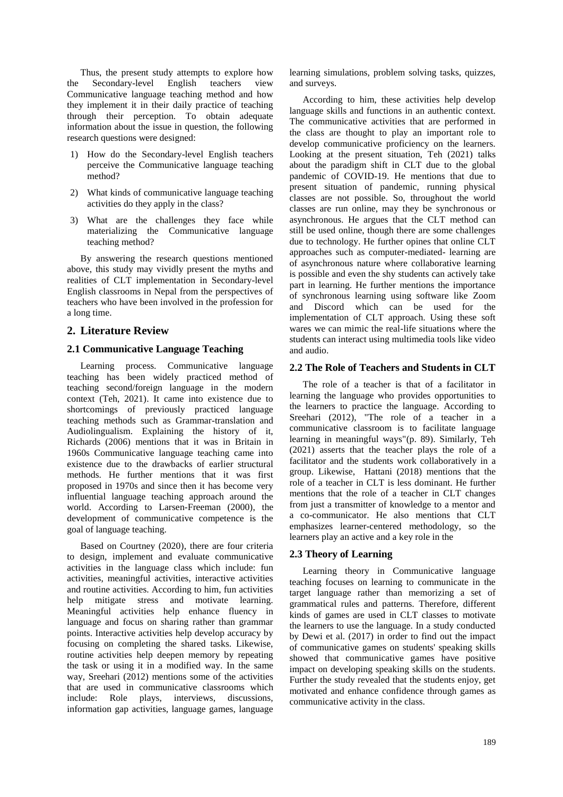Thus, the present study attempts to explore how the Secondary-level English teachers view Communicative language teaching method and how they implement it in their daily practice of teaching through their perception. To obtain adequate information about the issue in question, the following research questions were designed:

- 1) How do the Secondary-level English teachers perceive the Communicative language teaching method?
- 2) What kinds of communicative language teaching activities do they apply in the class?
- 3) What are the challenges they face while materializing the Communicative language teaching method?

By answering the research questions mentioned above, this study may vividly present the myths and realities of CLT implementation in Secondary-level English classrooms in Nepal from the perspectives of teachers who have been involved in the profession for a long time.

# **2. Literature Review**

#### **2.1 Communicative Language Teaching**

Learning process. Communicative language teaching has been widely practiced method of teaching second/foreign language in the modern context (Teh, 2021). It came into existence due to shortcomings of previously practiced language teaching methods such as Grammar-translation and Audiolingualism. Explaining the history of it, Richards (2006) mentions that it was in Britain in 1960s Communicative language teaching came into existence due to the drawbacks of earlier structural methods. He further mentions that it was first proposed in 1970s and since then it has become very influential language teaching approach around the world. According to Larsen-Freeman (2000), the development of communicative competence is the goal of language teaching.

Based on Courtney (2020), there are four criteria to design, implement and evaluate communicative activities in the language class which include: fun activities, meaningful activities, interactive activities and routine activities. According to him, fun activities help mitigate stress and motivate learning. Meaningful activities help enhance fluency in language and focus on sharing rather than grammar points. Interactive activities help develop accuracy by focusing on completing the shared tasks. Likewise, routine activities help deepen memory by repeating the task or using it in a modified way. In the same way, Sreehari (2012) mentions some of the activities that are used in communicative classrooms which include: Role plays, interviews, discussions, information gap activities, language games, language

learning simulations, problem solving tasks, quizzes, and surveys.

According to him, these activities help develop language skills and functions in an authentic context. The communicative activities that are performed in the class are thought to play an important role to develop communicative proficiency on the learners. Looking at the present situation, Teh (2021) talks about the paradigm shift in CLT due to the global pandemic of COVID-19. He mentions that due to present situation of pandemic, running physical classes are not possible. So, throughout the world classes are run online, may they be synchronous or asynchronous. He argues that the CLT method can still be used online, though there are some challenges due to technology. He further opines that online CLT approaches such as computer-mediated- learning are of asynchronous nature where collaborative learning is possible and even the shy students can actively take part in learning. He further mentions the importance of synchronous learning using software like Zoom and Discord which can be used for the implementation of CLT approach. Using these soft wares we can mimic the real-life situations where the students can interact using multimedia tools like video and audio.

# **2.2 The Role of Teachers and Students in CLT**

The role of a teacher is that of a facilitator in learning the language who provides opportunities to the learners to practice the language. According to Sreehari (2012), "The role of a teacher in a communicative classroom is to facilitate language learning in meaningful ways"(p. 89). Similarly, Teh (2021) asserts that the teacher plays the role of a facilitator and the students work collaboratively in a group. Likewise, Hattani (2018) mentions that the role of a teacher in CLT is less dominant. He further mentions that the role of a teacher in CLT changes from just a transmitter of knowledge to a mentor and a co-communicator. He also mentions that CLT emphasizes learner-centered methodology, so the learners play an active and a key role in the

#### **2.3 Theory of Learning**

Learning theory in Communicative language teaching focuses on learning to communicate in the target language rather than memorizing a set of grammatical rules and patterns. Therefore, different kinds of games are used in CLT classes to motivate the learners to use the language. In a study conducted by Dewi et al. (2017) in order to find out the impact of communicative games on students' speaking skills showed that communicative games have positive impact on developing speaking skills on the students. Further the study revealed that the students enjoy, get motivated and enhance confidence through games as communicative activity in the class.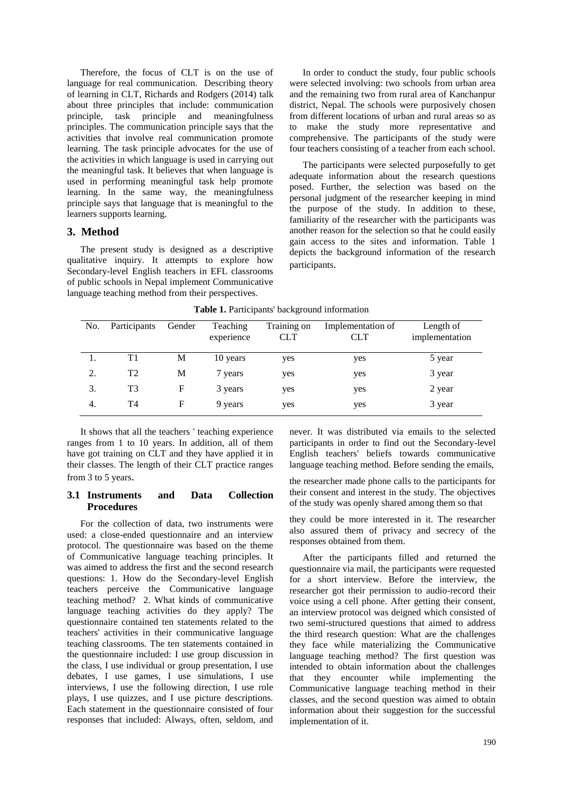Therefore, the focus of CLT is on the use of language for real communication. Describing theory of learning in CLT, Richards and Rodgers (2014) talk about three principles that include: communication principle, task principle and meaningfulness principles. The communication principle says that the activities that involve real communication promote learning. The task principle advocates for the use of the activities in which language is used in carrying out the meaningful task. It believes that when language is used in performing meaningful task help promote learning. In the same way, the meaningfulness principle says that language that is meaningful to the learners supports learning.

# **3. Method**

The present study is designed as a descriptive qualitative inquiry. It attempts to explore how Secondary-level English teachers in EFL classrooms of public schools in Nepal implement Communicative language teaching method from their perspectives.

In order to conduct the study, four public schools were selected involving: two schools from urban area and the remaining two from rural area of Kanchanpur district, Nepal. The schools were purposively chosen from different locations of urban and rural areas so as to make the study more representative and comprehensive. The participants of the study were four teachers consisting of a teacher from each school.

The participants were selected purposefully to get adequate information about the research questions posed. Further, the selection was based on the personal judgment of the researcher keeping in mind the purpose of the study. In addition to these, familiarity of the researcher with the participants was another reason for the selection so that he could easily gain access to the sites and information. Table 1 depicts the background information of the research participants.

| No. | Participants | Gender | Teaching<br>experience | Training on<br><b>CLT</b> | Implementation of<br><b>CLT</b> | Length of<br>implementation |
|-----|--------------|--------|------------------------|---------------------------|---------------------------------|-----------------------------|
|     | T1           | М      | 10 years               | yes                       | yes                             | 5 year                      |
| 2.  | T2           | M      | 7 years                | yes                       | yes                             | 3 year                      |
| 3.  | T3           | F      | 3 years                | yes                       | yes                             | 2 year                      |
| 4.  | T4           | F      | 9 years                | yes                       | yes                             | 3 year                      |

**Table 1.** Participants' background information

It shows that all the teachers ' teaching experience ranges from 1 to 10 years. In addition, all of them have got training on CLT and they have applied it in their classes. The length of their CLT practice ranges from 3 to 5 years.

# **3.1 Instruments and Data Collection Procedures**

For the collection of data, two instruments were used: a close-ended questionnaire and an interview protocol. The questionnaire was based on the theme of Communicative language teaching principles. It was aimed to address the first and the second research questions: 1. How do the Secondary-level English teachers perceive the Communicative language teaching method? 2. What kinds of communicative language teaching activities do they apply? The questionnaire contained ten statements related to the teachers' activities in their communicative language teaching classrooms. The ten statements contained in the questionnaire included: I use group discussion in the class, I use individual or group presentation, I use debates, I use games, I use simulations, I use interviews, I use the following direction, I use role plays, I use quizzes, and I use picture descriptions. Each statement in the questionnaire consisted of four responses that included: Always, often, seldom, and

never. It was distributed via emails to the selected participants in order to find out the Secondary-level English teachers' beliefs towards communicative language teaching method. Before sending the emails,

the researcher made phone calls to the participants for their consent and interest in the study. The objectives of the study was openly shared among them so that

they could be more interested in it. The researcher also assured them of privacy and secrecy of the responses obtained from them.

After the participants filled and returned the questionnaire via mail, the participants were requested for a short interview. Before the interview, the researcher got their permission to audio-record their voice using a cell phone. After getting their consent, an interview protocol was deigned which consisted of two semi-structured questions that aimed to address the third research question: What are the challenges they face while materializing the Communicative language teaching method? The first question was intended to obtain information about the challenges that they encounter while implementing the Communicative language teaching method in their classes, and the second question was aimed to obtain information about their suggestion for the successful implementation of it.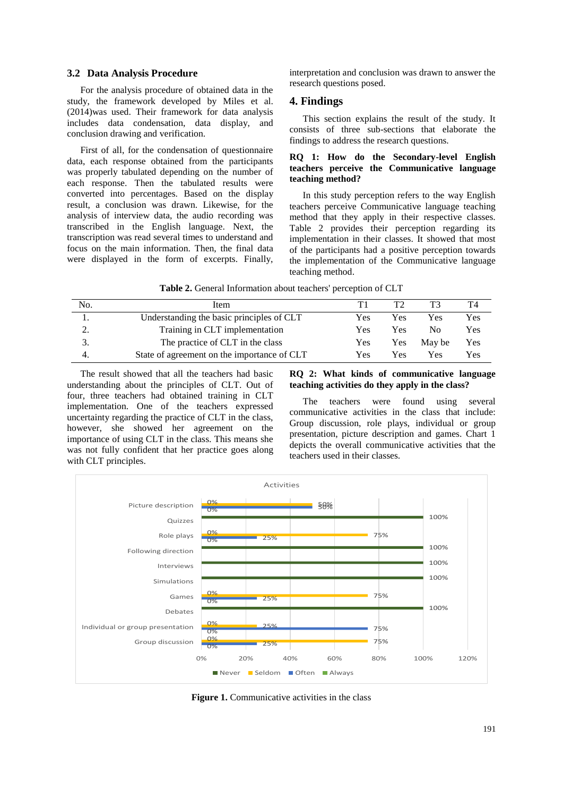#### **3.2 Data Analysis Procedure**

For the analysis procedure of obtained data in the study, the framework developed by Miles et al. (2014)was used. Their framework for data analysis includes data condensation, data display, and conclusion drawing and verification.

First of all, for the condensation of questionnaire data, each response obtained from the participants was properly tabulated depending on the number of each response. Then the tabulated results were converted into percentages. Based on the display result, a conclusion was drawn. Likewise, for the analysis of interview data, the audio recording was transcribed in the English language. Next, the transcription was read several times to understand and focus on the main information. Then, the final data were displayed in the form of excerpts. Finally,

interpretation and conclusion was drawn to answer the research questions posed.

#### **4. Findings**

This section explains the result of the study. It consists of three sub-sections that elaborate the findings to address the research questions.

#### **RQ 1: How do the Secondary-level English teachers perceive the Communicative language teaching method?**

In this study perception refers to the way English teachers perceive Communicative language teaching method that they apply in their respective classes. Table 2 provides their perception regarding its implementation in their classes. It showed that most of the participants had a positive perception towards the implementation of the Communicative language teaching method.

|  | Table 2. General Information about teachers' perception of CLT |  |  |  |
|--|----------------------------------------------------------------|--|--|--|
|  |                                                                |  |  |  |

| No. | Item                                        |     | T?  |        |     |
|-----|---------------------------------------------|-----|-----|--------|-----|
|     | Understanding the basic principles of CLT   | Yes | Yes | Yes    | Yes |
|     | Training in CLT implementation              | Yes | Yes | No.    | Yes |
|     | The practice of CLT in the class            | Yes | Yes | May be | Yes |
|     | State of agreement on the importance of CLT | Yes | Yes | Yes    | Yes |

The result showed that all the teachers had basic understanding about the principles of CLT. Out of four, three teachers had obtained training in CLT implementation. One of the teachers expressed uncertainty regarding the practice of CLT in the class, however, she showed her agreement on the importance of using CLT in the class. This means she was not fully confident that her practice goes along with CLT principles.

#### **RQ 2: What kinds of communicative language teaching activities do they apply in the class?**

The teachers were found using several communicative activities in the class that include: Group discussion, role plays, individual or group presentation, picture description and games. Chart 1 depicts the overall communicative activities that the teachers used in their classes.



**Figure 1.** Communicative activities in the class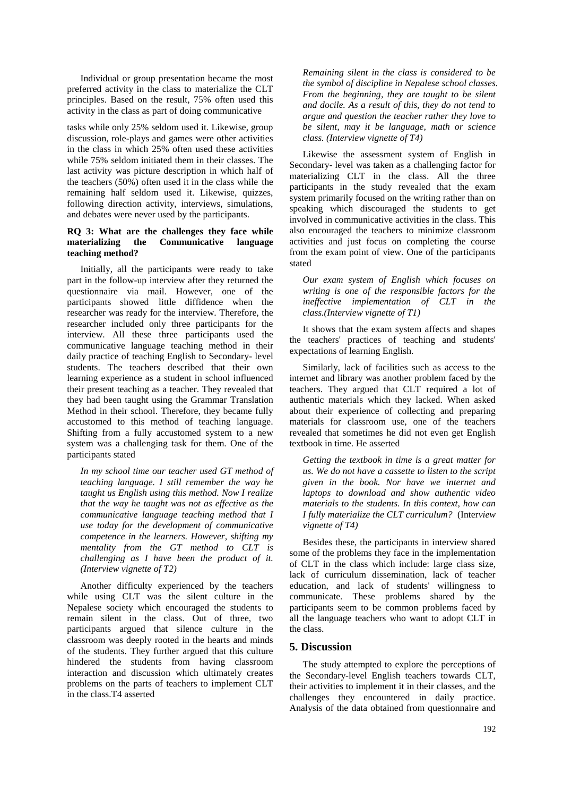Individual or group presentation became the most preferred activity in the class to materialize the CLT principles. Based on the result, 75% often used this activity in the class as part of doing communicative

tasks while only 25% seldom used it. Likewise, group discussion, role-plays and games were other activities in the class in which 25% often used these activities while 75% seldom initiated them in their classes. The last activity was picture description in which half of the teachers (50%) often used it in the class while the remaining half seldom used it. Likewise, quizzes, following direction activity, interviews, simulations, and debates were never used by the participants.

#### **RQ 3: What are the challenges they face while materializing the Communicative language teaching method?**

Initially, all the participants were ready to take part in the follow-up interview after they returned the questionnaire via mail. However, one of the participants showed little diffidence when the researcher was ready for the interview. Therefore, the researcher included only three participants for the interview. All these three participants used the communicative language teaching method in their daily practice of teaching English to Secondary- level students. The teachers described that their own learning experience as a student in school influenced their present teaching as a teacher. They revealed that they had been taught using the Grammar Translation Method in their school. Therefore, they became fully accustomed to this method of teaching language. Shifting from a fully accustomed system to a new system was a challenging task for them. One of the participants stated

*In my school time our teacher used GT method of teaching language. I still remember the way he taught us English using this method. Now I realize that the way he taught was not as effective as the communicative language teaching method that I use today for the development of communicative competence in the learners. However, shifting my mentality from the GT method to CLT is challenging as I have been the product of it. (Interview vignette of T2)*

Another difficulty experienced by the teachers while using CLT was the silent culture in the Nepalese society which encouraged the students to remain silent in the class. Out of three, two participants argued that silence culture in the classroom was deeply rooted in the hearts and minds of the students. They further argued that this culture hindered the students from having classroom interaction and discussion which ultimately creates problems on the parts of teachers to implement CLT in the class.T4 asserted

*Remaining silent in the class is considered to be the symbol of discipline in Nepalese school classes. From the beginning, they are taught to be silent and docile. As a result of this, they do not tend to argue and question the teacher rather they love to be silent, may it be language, math or science class. (Interview vignette of T4)* 

Likewise the assessment system of English in Secondary- level was taken as a challenging factor for materializing CLT in the class. All the three participants in the study revealed that the exam system primarily focused on the writing rather than on speaking which discouraged the students to get involved in communicative activities in the class. This also encouraged the teachers to minimize classroom activities and just focus on completing the course from the exam point of view. One of the participants stated

*Our exam system of English which focuses on writing is one of the responsible factors for the ineffective implementation of CLT in the class.(Interview vignette of T1)*

It shows that the exam system affects and shapes the teachers' practices of teaching and students' expectations of learning English.

Similarly, lack of facilities such as access to the internet and library was another problem faced by the teachers. They argued that CLT required a lot of authentic materials which they lacked. When asked about their experience of collecting and preparing materials for classroom use, one of the teachers revealed that sometimes he did not even get English textbook in time. He asserted

*Getting the textbook in time is a great matter for us. We do not have a cassette to listen to the script given in the book. Nor have we internet and laptops to download and show authentic video materials to the students. In this context, how can I fully materialize the CLT curriculum?* (Inter*view vignette of T4)*

Besides these, the participants in interview shared some of the problems they face in the implementation of CLT in the class which include: large class size, lack of curriculum dissemination, lack of teacher education, and lack of students' willingness to communicate. These problems shared by the participants seem to be common problems faced by all the language teachers who want to adopt CLT in the class.

# **5. Discussion**

The study attempted to explore the perceptions of the Secondary-level English teachers towards CLT, their activities to implement it in their classes, and the challenges they encountered in daily practice. Analysis of the data obtained from questionnaire and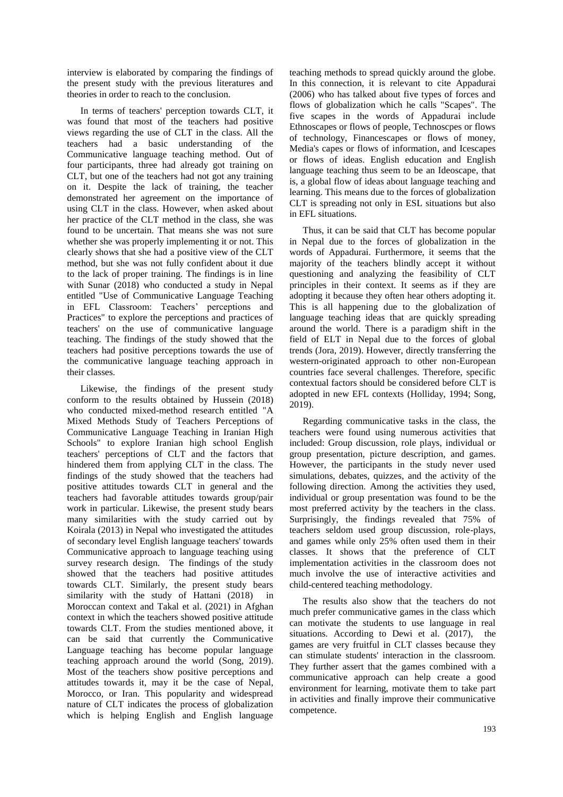interview is elaborated by comparing the findings of the present study with the previous literatures and theories in order to reach to the conclusion.

In terms of teachers' perception towards CLT, it was found that most of the teachers had positive views regarding the use of CLT in the class. All the teachers had a basic understanding of the Communicative language teaching method. Out of four participants, three had already got training on CLT, but one of the teachers had not got any training on it. Despite the lack of training, the teacher demonstrated her agreement on the importance of using CLT in the class. However, when asked about her practice of the CLT method in the class, she was found to be uncertain. That means she was not sure whether she was properly implementing it or not. This clearly shows that she had a positive view of the CLT method, but she was not fully confident about it due to the lack of proper training. The findings is in line with Sunar (2018) who conducted a study in Nepal entitled "Use of Communicative Language Teaching in EFL Classroom: Teachers' perceptions and Practices" to explore the perceptions and practices of teachers' on the use of communicative language teaching. The findings of the study showed that the teachers had positive perceptions towards the use of the communicative language teaching approach in their classes.

Likewise, the findings of the present study conform to the results obtained by Hussein (2018) who conducted mixed-method research entitled "A Mixed Methods Study of Teachers Perceptions of Communicative Language Teaching in Iranian High Schools" to explore Iranian high school English teachers' perceptions of CLT and the factors that hindered them from applying CLT in the class. The findings of the study showed that the teachers had positive attitudes towards CLT in general and the teachers had favorable attitudes towards group/pair work in particular. Likewise, the present study bears many similarities with the study carried out by Koirala (2013) in Nepal who investigated the attitudes of secondary level English language teachers' towards Communicative approach to language teaching using survey research design. The findings of the study showed that the teachers had positive attitudes towards CLT. Similarly, the present study bears similarity with the study of Hattani (2018) in Moroccan context and Takal et al. (2021) in Afghan context in which the teachers showed positive attitude towards CLT. From the studies mentioned above, it can be said that currently the Communicative Language teaching has become popular language teaching approach around the world (Song, 2019). Most of the teachers show positive perceptions and attitudes towards it, may it be the case of Nepal, Morocco, or Iran. This popularity and widespread nature of CLT indicates the process of globalization which is helping English and English language

teaching methods to spread quickly around the globe. In this connection, it is relevant to cite Appadurai (2006) who has talked about five types of forces and flows of globalization which he calls "Scapes". The five scapes in the words of Appadurai include Ethnoscapes or flows of people, Technoscpes or flows of technology, Financescapes or flows of money, Media's capes or flows of information, and Icescapes or flows of ideas. English education and English language teaching thus seem to be an Ideoscape, that is, a global flow of ideas about language teaching and learning. This means due to the forces of globalization CLT is spreading not only in ESL situations but also in EFL situations.

Thus, it can be said that CLT has become popular in Nepal due to the forces of globalization in the words of Appadurai. Furthermore, it seems that the majority of the teachers blindly accept it without questioning and analyzing the feasibility of CLT principles in their context. It seems as if they are adopting it because they often hear others adopting it. This is all happening due to the globalization of language teaching ideas that are quickly spreading around the world. There is a paradigm shift in the field of ELT in Nepal due to the forces of global trends (Jora, 2019). However, directly transferring the western-originated approach to other non-European countries face several challenges. Therefore, specific contextual factors should be considered before CLT is adopted in new EFL contexts (Holliday, 1994; Song, 2019).

Regarding communicative tasks in the class, the teachers were found using numerous activities that included: Group discussion, role plays, individual or group presentation, picture description, and games. However, the participants in the study never used simulations, debates, quizzes, and the activity of the following direction. Among the activities they used, individual or group presentation was found to be the most preferred activity by the teachers in the class. Surprisingly, the findings revealed that 75% of teachers seldom used group discussion, role-plays, and games while only 25% often used them in their classes. It shows that the preference of CLT implementation activities in the classroom does not much involve the use of interactive activities and child-centered teaching methodology.

The results also show that the teachers do not much prefer communicative games in the class which can motivate the students to use language in real situations. According to Dewi et al. (2017), the games are very fruitful in CLT classes because they can stimulate students' interaction in the classroom. They further assert that the games combined with a communicative approach can help create a good environment for learning, motivate them to take part in activities and finally improve their communicative competence.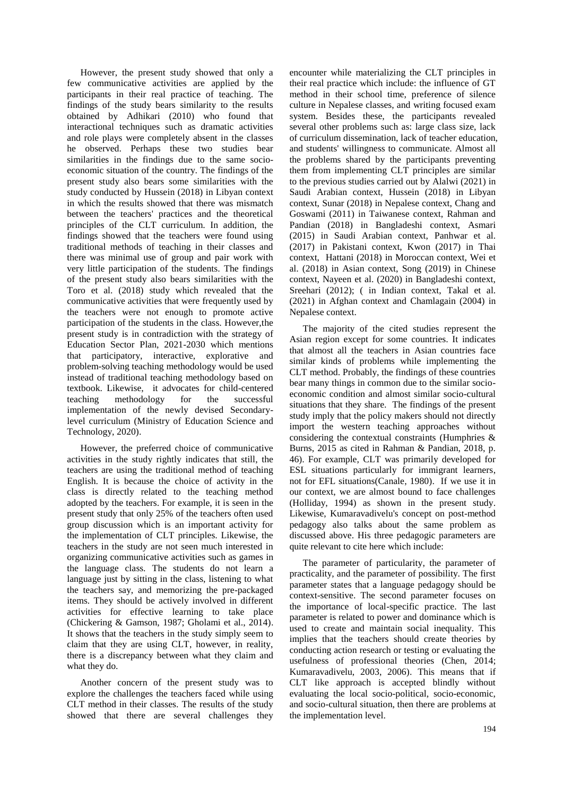However, the present study showed that only a few communicative activities are applied by the participants in their real practice of teaching. The findings of the study bears similarity to the results obtained by Adhikari (2010) who found that interactional techniques such as dramatic activities and role plays were completely absent in the classes he observed. Perhaps these two studies bear similarities in the findings due to the same socioeconomic situation of the country. The findings of the present study also bears some similarities with the study conducted by Hussein (2018) in Libyan context in which the results showed that there was mismatch between the teachers' practices and the theoretical principles of the CLT curriculum. In addition, the findings showed that the teachers were found using traditional methods of teaching in their classes and there was minimal use of group and pair work with very little participation of the students. The findings of the present study also bears similarities with the Toro et al. (2018) study which revealed that the communicative activities that were frequently used by the teachers were not enough to promote active participation of the students in the class. However,the present study is in contradiction with the strategy of Education Sector Plan, 2021-2030 which mentions that participatory, interactive, explorative and problem-solving teaching methodology would be used instead of traditional teaching methodology based on textbook. Likewise, it advocates for child-centered teaching methodology for the successful implementation of the newly devised Secondarylevel curriculum (Ministry of Education Science and Technology, 2020).

However, the preferred choice of communicative activities in the study rightly indicates that still, the teachers are using the traditional method of teaching English. It is because the choice of activity in the class is directly related to the teaching method adopted by the teachers. For example, it is seen in the present study that only 25% of the teachers often used group discussion which is an important activity for the implementation of CLT principles. Likewise, the teachers in the study are not seen much interested in organizing communicative activities such as games in the language class. The students do not learn a language just by sitting in the class, listening to what the teachers say, and memorizing the pre-packaged items. They should be actively involved in different activities for effective learning to take place (Chickering & Gamson, 1987; Gholami et al., 2014). It shows that the teachers in the study simply seem to claim that they are using CLT, however, in reality, there is a discrepancy between what they claim and what they do.

Another concern of the present study was to explore the challenges the teachers faced while using CLT method in their classes. The results of the study showed that there are several challenges they encounter while materializing the CLT principles in their real practice which include: the influence of GT method in their school time, preference of silence culture in Nepalese classes, and writing focused exam system. Besides these, the participants revealed several other problems such as: large class size, lack of curriculum dissemination, lack of teacher education, and students' willingness to communicate. Almost all the problems shared by the participants preventing them from implementing CLT principles are similar to the previous studies carried out by Alalwi (2021) in Saudi Arabian context, Hussein (2018) in Libyan context, Sunar (2018) in Nepalese context, Chang and Goswami (2011) in Taiwanese context, Rahman and Pandian (2018) in Bangladeshi context, Asmari (2015) in Saudi Arabian context, Panhwar et al. (2017) in Pakistani context, Kwon (2017) in Thai context, Hattani (2018) in Moroccan context, Wei et al. (2018) in Asian context, Song (2019) in Chinese context, Nayeen et al. (2020) in Bangladeshi context, Sreehari (2012); ( in Indian context, Takal et al. (2021) in Afghan context and Chamlagain (2004) in Nepalese context.

The majority of the cited studies represent the Asian region except for some countries. It indicates that almost all the teachers in Asian countries face similar kinds of problems while implementing the CLT method. Probably, the findings of these countries bear many things in common due to the similar socioeconomic condition and almost similar socio-cultural situations that they share. The findings of the present study imply that the policy makers should not directly import the western teaching approaches without considering the contextual constraints (Humphries & Burns, 2015 as cited in Rahman & Pandian, 2018, p. 46). For example, CLT was primarily developed for ESL situations particularly for immigrant learners, not for EFL situations(Canale, 1980). If we use it in our context, we are almost bound to face challenges (Holliday, 1994) as shown in the present study. Likewise, Kumaravadivelu's concept on post-method pedagogy also talks about the same problem as discussed above. His three pedagogic parameters are quite relevant to cite here which include:

The parameter of particularity, the parameter of practicality, and the parameter of possibility. The first parameter states that a language pedagogy should be context-sensitive. The second parameter focuses on the importance of local-specific practice. The last parameter is related to power and dominance which is used to create and maintain social inequality. This implies that the teachers should create theories by conducting action research or testing or evaluating the usefulness of professional theories (Chen, 2014; Kumaravadivelu, 2003, 2006). This means that if CLT like approach is accepted blindly without evaluating the local socio-political, socio-economic, and socio-cultural situation, then there are problems at the implementation level.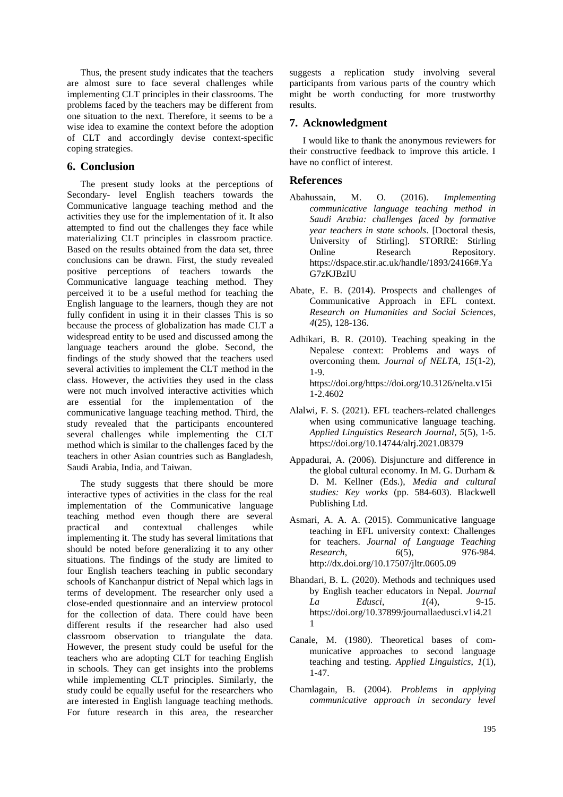Thus, the present study indicates that the teachers are almost sure to face several challenges while implementing CLT principles in their classrooms. The problems faced by the teachers may be different from one situation to the next. Therefore, it seems to be a wise idea to examine the context before the adoption of CLT and accordingly devise context-specific coping strategies.

#### **6. Conclusion**

The present study looks at the perceptions of Secondary- level English teachers towards the Communicative language teaching method and the activities they use for the implementation of it. It also attempted to find out the challenges they face while materializing CLT principles in classroom practice. Based on the results obtained from the data set, three conclusions can be drawn. First, the study revealed positive perceptions of teachers towards the Communicative language teaching method. They perceived it to be a useful method for teaching the English language to the learners, though they are not fully confident in using it in their classes This is so because the process of globalization has made CLT a widespread entity to be used and discussed among the language teachers around the globe. Second, the findings of the study showed that the teachers used several activities to implement the CLT method in the class. However, the activities they used in the class were not much involved interactive activities which are essential for the implementation of the communicative language teaching method. Third, the study revealed that the participants encountered several challenges while implementing the CLT method which is similar to the challenges faced by the teachers in other Asian countries such as Bangladesh, Saudi Arabia, India, and Taiwan.

The study suggests that there should be more interactive types of activities in the class for the real implementation of the Communicative language teaching method even though there are several practical and contextual challenges while implementing it. The study has several limitations that should be noted before generalizing it to any other situations. The findings of the study are limited to four English teachers teaching in public secondary schools of Kanchanpur district of Nepal which lags in terms of development. The researcher only used a close-ended questionnaire and an interview protocol for the collection of data. There could have been different results if the researcher had also used classroom observation to triangulate the data. However, the present study could be useful for the teachers who are adopting CLT for teaching English in schools. They can get insights into the problems while implementing CLT principles. Similarly, the study could be equally useful for the researchers who are interested in English language teaching methods. For future research in this area, the researcher

suggests a replication study involving several participants from various parts of the country which might be worth conducting for more trustworthy results.

# **7. Acknowledgment**

I would like to thank the anonymous reviewers for their constructive feedback to improve this article. I have no conflict of interest.

#### **References**

- Abahussain, M. O. (2016). *Implementing communicative language teaching method in Saudi Arabia: challenges faced by formative year teachers in state schools*. [Doctoral thesis, University of Stirling]. STORRE: Stirling Online Research Repository. https://dspace.stir.ac.uk/handle/1893/24166#.Ya G7zKJBzIU
- Abate, E. B. (2014). Prospects and challenges of Communicative Approach in EFL context. *Research on Humanities and Social Sciences*, *4*(25), 128-136.
- Adhikari, B. R. (2010). Teaching speaking in the Nepalese context: Problems and ways of overcoming them. *Journal of NELTA*, *15*(1-2), 1-9. [https://doi.org/https://doi.org/10.3126/nelta.v15i](https://doi.org/https:/doi.org/10.3126/nelta.v15i1-2.4602) [1-2.4602](https://doi.org/https:/doi.org/10.3126/nelta.v15i1-2.4602)
- Alalwi, F. S. (2021). EFL teachers-related challenges when using communicative language teaching. *Applied Linguistics Research Journal*, *5*(5), 1-5. <https://doi.org/10.14744/alrj.2021.08379>
- Appadurai, A. (2006). Disjuncture and difference in the global cultural economy. In M. G. Durham & D. M. Kellner (Eds.), *Media and cultural studies: Key works* (pp. 584-603). Blackwell Publishing Ltd.
- Asmari, A. A. A. (2015). Communicative language teaching in EFL university context: Challenges for teachers. *Journal of Language Teaching Research*, *6*(5), 976-984. http://dx.doi.org/10.17507/jltr.0605.09
- Bhandari, B. L. (2020). Methods and techniques used by English teacher educators in Nepal. *Journal La Edusci*, *1*(4), 9-15. [https://doi.org/10.37899/journallaedusci.v1i4.21](https://doi.org/10.37899/journallaedusci.v1i4.211) [1](https://doi.org/10.37899/journallaedusci.v1i4.211)
- Canale, M. (1980). Theoretical bases of communicative approaches to second language teaching and testing. *Applied Linguistics*, *1*(1), 1-47.
- Chamlagain, B. (2004). *Problems in applying communicative approach in secondary level*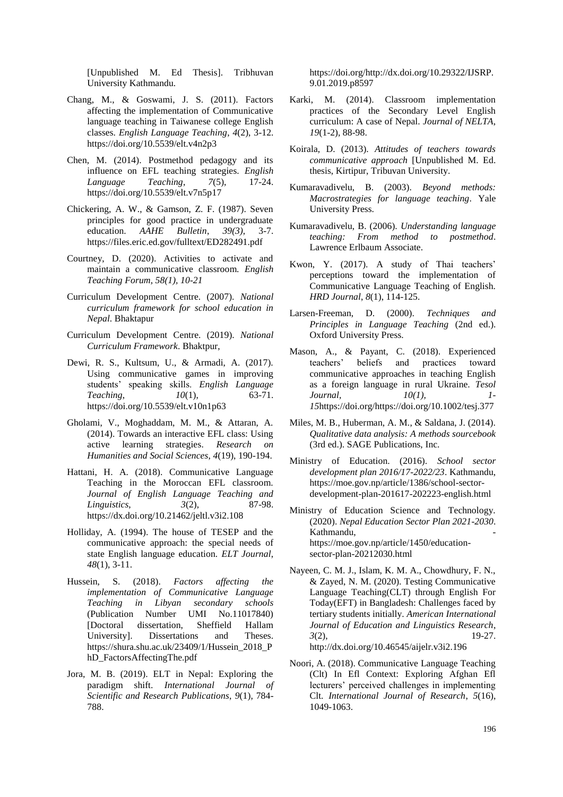[Unpublished M. Ed Thesis]. Tribhuvan University Kathmandu.

- Chang, M., & Goswami, J. S. (2011). Factors affecting the implementation of Communicative language teaching in Taiwanese college English classes. *English Language Teaching*, *4*(2), 3-12. <https://doi.org/10.5539/elt.v4n2p3>
- Chen, M. (2014). Postmethod pedagogy and its influence on EFL teaching strategies. *English Language Teaching*, *7*(5), 17-24. <https://doi.org/10.5539/elt.v7n5p17>
- Chickering, A. W., & Gamson, Z. F. (1987). Seven principles for good practice in undergraduate education. *AAHE Bulletin*, *39(3)*, 3-7. <https://files.eric.ed.gov/fulltext/ED282491.pdf>
- Courtney, D. (2020). Activities to activate and maintain a communicative classroom. *English Teaching Forum, 58(1), 10-21*
- Curriculum Development Centre. (2007). *National curriculum framework for school education in Nepal*. Bhaktapur
- Curriculum Development Centre. (2019). *National Curriculum Framework*. Bhaktpur,
- Dewi, R. S., Kultsum, U., & Armadi, A. (2017). Using communicative games in improving students' speaking skills. *English Language Teaching*, *10*(1), 63-71. <https://doi.org/10.5539/elt.v10n1p63>
- Gholami, V., Moghaddam, M. M., & Attaran, A. (2014). Towards an interactive EFL class: Using active learning strategies. *Research on Humanities and Social Sciences*, *4*(19), 190-194.
- Hattani, H. A. (2018). Communicative Language Teaching in the Moroccan EFL classroom. *Journal of English Language Teaching and Linguistics*, *3*(2), 87-98. https://dx.doi.org/10.21462/jeltl.v3i2.108
- Holliday, A. (1994). The house of TESEP and the communicative approach: the special needs of state English language education. *ELT Journal*, *48*(1), 3-11.
- Hussein, S. (2018). *Factors affecting the implementation of Communicative Language Teaching in Libyan secondary schools* (Publication Number UMI No.11017840) [Doctoral dissertation, Sheffield Hallam University]. Dissertations and Theses. https://shura.shu.ac.uk/23409/1/Hussein\_2018\_P hD\_FactorsAffectingThe.pdf
- Jora, M. B. (2019). ELT in Nepal: Exploring the paradigm shift. *International Journal of Scientific and Research Publications*, *9*(1), 784- 788.

[https://doi.org/http://dx.doi.org/10.29322/IJSRP.](https://doi.org/http:/dx.doi.org/10.29322/IJSRP.9.01.2019.p8597) [9.01.2019.p8597](https://doi.org/http:/dx.doi.org/10.29322/IJSRP.9.01.2019.p8597)

- Karki, M. (2014). Classroom implementation practices of the Secondary Level English curriculum: A case of Nepal. *Journal of NELTA*, *19*(1-2), 88-98.
- Koirala, D. (2013). *Attitudes of teachers towards communicative approach* [Unpublished M. Ed. thesis, Kirtipur, Tribuvan University.
- Kumaravadivelu, B. (2003). *Beyond methods: Macrostrategies for language teaching*. Yale University Press.
- Kumaravadivelu, B. (2006). *Understanding language teaching: From method to postmethod*. Lawrence Erlbaum Associate.
- Kwon, Y. (2017). A study of Thai teachers' perceptions toward the implementation of Communicative Language Teaching of English. *HRD Journal*, *8*(1), 114-125.
- Larsen-Freeman, D. (2000). *Techniques and Principles in Language Teaching* (2nd ed.). Oxford University Press.
- Mason, A., & Payant, C. (2018). Experienced teachers' beliefs and practices toward communicative approaches in teaching English as a foreign language in rural Ukraine. *Tesol Journal, 10(1), 1- 15*[https://doi.org/https://doi.org/10.1002/tesj.377](https://doi.org/https:/doi.org/10.1002/tesj.377)
- Miles, M. B., Huberman, A. M., & Saldana, J. (2014). *Qualitative data analysis: A methods sourcebook* (3rd ed.). SAGE Publications, Inc.
- Ministry of Education. (2016). *School sector development plan 2016/17-2022/23*. Kathmandu, https://moe.gov.np/article/1386/school-sectordevelopment-plan-201617-202223-english.html
- Ministry of Education Science and Technology. (2020). *Nepal Education Sector Plan 2021-2030*. Kathmandu, https://moe.gov.np/article/1450/educationsector-plan-20212030.html
- Nayeen, C. M. J., Islam, K. M. A., Chowdhury, F. N., & Zayed, N. M. (2020). Testing Communicative Language Teaching(CLT) through English For Today(EFT) in Bangladesh: Challenges faced by tertiary students initially. *American International Journal of Education and Linguistics Research*, *3*(2), 19-27. http://dx.doi.org/10.46545/aijelr.v3i2.196
- Noori, A. (2018). Communicative Language Teaching (Clt) In Efl Context: Exploring Afghan Efl lecturers' perceived challenges in implementing Clt. *International Journal of Research*, *5*(16), 1049-1063.